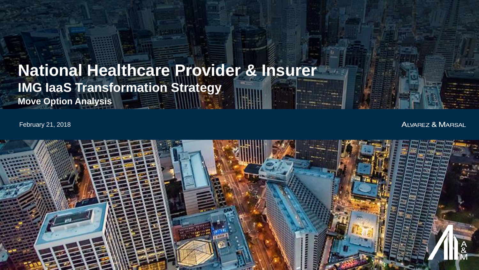## **Move Option Analysis National Healthcare Provider & Insurer IMG IaaS Transformation Strategy**

February 21, 2018

**ALVAREZ & MARSAL** 

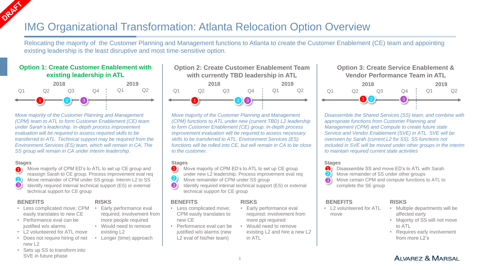### IMG Organizational Transformation: Atlanta Relocation Option Overview

Relocating the majority of the Customer Planning and Management functions to Atlanta to create the Customer Enablement (CE) team and appointing existing leadership is the least disruptive and most time-sensitive option.

#### **Option 1: Create Customer Enablement with existing leadership in ATL**



*Move majority of the Customer Planning and Management (CPM) team to ATL to form Customer Enablement (CE) team under Sarah's leadership. In-depth process improvement evaluation will be required to assess required skills to be transferred to ATL. Technical support may be required from the Environment Services (ES) team, which will remain in CA. The SS group will remain in CA under interim leadership.*

#### **Stages**

Move majority of CPM ED's to ATL to set up CE group and reassign Sarah to CE group. Process improvement eval req 2. Move remainder of CPM under SS group. Interim L2 to SS Identify required internal technical support (ES) or external technical support for CE group 0 2 8

#### **BENEFITS**

- Less complicated move; CPM easily translates to new CE
- Performance eval can be justified w/o alarms
- L2 volunteered for ATL move
- Does not require hiring of net new L2

### **RISKS**

- Early performance eval required; involvement from more people required
- Would need to remove existing L2
- Longer (time) approach

#### **Option 2: Create Customer Enablement Team with currently TBD leadership in ATL**



*Move majority of the Customer Planning and Management (CPM) functions to ATL under new (current TBD) L2 leadership to form Customer Enablement (CE) group. In-depth process improvement evaluation will be required to assess necessary skills to be transferred to ATL. Environment Services (ES) functions will be rolled into CE, but will remain in CA to be close to the customer.* 

#### **Stages**

- Move majority of CPM ED's to ATL to set up CE group  $\bullet$
- under new L2 leadership. Process improvement eval req
- Move remainder of CPM under SS group 2
- Identify required internal technical support (ES) or external technical support for CE group 8

#### **BENEFITS**

- Less complicated move; CPM easily translates to new CE
- Performance eval can be justified w/o alarms (new L<sub>2</sub> eval of his/her team)

**RISKS** Early performance eval required; involvement from

- more ppl required • Would need to remove
	- existing L2 and hire a new L2 in ATL

#### **Option 3: Create Service Enablement & Vendor Performance Team in ATL**



*Disassemble the Shared Services (SS) team, and combine with appropriate functions from Customer Planning and Management (CPM) and Compute to create future state Service and Vendor Enablement (SVE) in ATL. SVE will be overseen by Sarah (current L2 for SS). SS functions not included in SVE will be moved under other groups in the interim to maintain required current state activities*

#### **Stages**

- Disassemble SS and move ED's to ATL with Sarah 41
- Move remainder of SS under other groups 2
- Move certain CPM and compute functions to ATL to 8

complete the SE group

#### **BENEFITS**

• L2 volunteered for ATL move

#### **RISKS**

- Multiple departments will be affected early
- Majority of SS will not move to ATL
- Requires early involvement from more L2's

• Sets up SS to transform into SVE in future phase

1

- -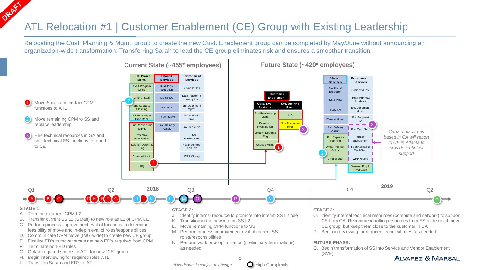# ATL Relocation #1 | Customer Enablement (CE) Group with Existing Leadership

Relocating the Cust. Planning & Mgmt. group to create the new Cust. Enablement group can be completed by May/June without announcing an organization-wide transformation. Transferring Sarah to lead the CE group eliminates risk and ensures a smoother transition.



#### **Current State (~455\* employees) Future State (~420\* employees)**

Transition Sarah and ED's to ATL

H. Begin interviewing for required roles ATL

G. Obtain required spaces in ATL for new "CE" group

 $\mathcal{D}$ 

- CE from CA. Recommend rolling resources from ES underneath new
- Q. Begin transformation of SS into Service and Vendor Enablement (SVE)

### AIVAREZ & MARSAL

*\*Headcount is subject to change* **C** High Complexity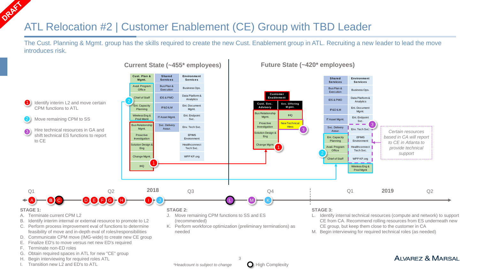# ATL Relocation #2 | Customer Enablement (CE) Group with TBD Leader

The Cust. Planning & Mgmt. group has the skills required to create the new Cust. Enablement group in ATL. Recruiting a new leader to lead the move introduces risk.



**Current State (~455\* employees) Future State (~420\* employees)**

AIVAREZ & MARSAL

I. Transition new L2 and ED's to ATL

H. Begin interviewing for required roles ATL

G. Obtain required spaces in ATL for new "CE" group



3